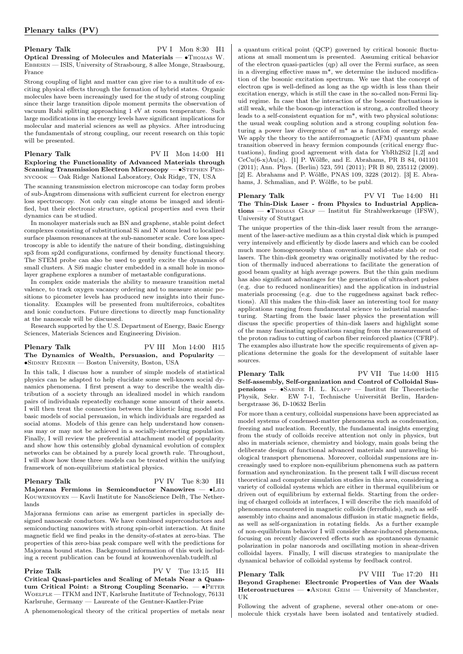Plenary Talk PV I Mon 8:30 H1 Optical Dressing of Molecules and Materials — •Thomas W. Ebbesen — ISIS, University of Strasbourg, 8 allee Monge, Strasbourg, France

Strong coupling of light and matter can give rise to a multitude of exciting physical effects through the formation of hybrid states. Organic molecules have been increasingly used for the study of strong coupling since their large transition dipole moment permits the observation of vacuum Rabi splitting approaching 1 eV at room temperature. Such large modifications in the energy levels have significant implications for molecular and material sciences as well as physics. After introducing the fundamentals of strong coupling, our recent research on this topic will be presented.

### Plenary Talk PV II Mon 14:00 H1 Exploring the Functionality of Advanced Materials through Scanning Transmission Electron Microscopy — • STEPHEN PENnycook — Oak Ridge National Laboratory, Oak Ridge, TN, USA

The scanning transmission electron microscope can today form probes of sub-Ångstrom dimensions with sufficient current for electron energy loss spectroscopy. Not only can single atoms be imaged and identified, but their electronic structure, optical properties and even their dynamics can be studied.

In monolayer materials such as BN and graphene, stable point defect complexes consisting of substitutional Si and N atoms lead to localized surface plasmon resonances at the sub-nanometer scale. Core loss spectroscopy is able to identify the nature of their bonding, distinguishing sp3 from sp2d configurations, confirmed by density functional theory. The STEM probe can also be used to gently excite the dynamics of small clusters. A Si6 magic cluster embedded in a small hole in monolayer graphene explores a number of metastable configurations.

In complex oxide materials the ability to measure transition metal valence, to track oxygen vacancy ordering and to measure atomic positions to picometer levels has produced new insights into their functionality. Examples will be presented from multiferroics, cobaltites and ionic conductors. Future directions to directly map functionality at the nanoscale will be discussed.

Research supported by the U.S. Department of Energy, Basic Energy Sciences, Materials Sciences and Engineering Division.

# Plenary Talk PV III Mon 14:00 H15 The Dynamics of Wealth, Persuasion, and Popularity -∙Sidney Redner — Boston University, Boston, USA

In this talk, I discuss how a number of simple models of statistical physics can be adapted to help elucidate some well-known social dynamics phenomena. I first present a way to describe the wealth distribution of a society through an idealized model in which random pairs of individuals repeatedly exchange some amount of their assets. I will then treat the connection between the kinetic Ising model and basic models of social persuasion, in which individuals are regarded as social atoms. Models of this genre can help understand how consensus may or may not be achieved in a socially-interacting population. Finally, I will review the preferential attachment model of popularity and show how this ostensibly global dynamical evolution of complex networks can be obtained by a purely local growth rule. Throughout, I will show how these three models can be treated within the unifying framework of non-equilibrium statistical physics.

### Plenary Talk PV IV Tue 8:30 H1 Majorana Fermions in Semiconductor Nanowires — ∙Leo KOUWENHOVEN — Kavli Institute for NanoScience Delft, The Netherlands

Majorana fermions can arise as emergent particles in specially designed nanoscale conductors. We have combined superconductors and semiconducting nanowires with strong spin-orbit interaction. At finite magnetic field we find peaks in the density-of-states at zero-bias. The properties of this zero-bias peak compare well with the predictions for Majorana bound states. Background information of this work including a recent publication can be found at kouwenhovenlab.tudelft.nl

Prize Talk PV V Tue 13:15 H1 Critical Quasi-particles and Scaling of Metals Near a Quantum Critical Point: a Strong Coupling Scenario. —  $\bullet$ PETER WOELFLE — ITKM and INT, Karlsruhe Institute of Technology, 76131 Karlsruhe, Germany — Laureate of the Gentner-Kastler-Prize

A phenomenological theory of the critical properties of metals near

a quantum critical point (QCP) governed by critical bosonic fluctuations at small momentum is presented. Assuming critical behavior of the electron quasi-particles (qp) all over the Fermi surface, as seen in a diverging effective mass  $m^*$ , we determine the induced modification of the bosonic excitation spectrum. We use that the concept of electron qps is well-defined as long as the qp width is less than their excitation energy, which is still the case in the so-called non-Fermi liquid regime. In case that the interaction of the bosonic fluctuations is still weak, while the boson-qp interaction is strong, a controlled theory leads to a self-consistent equation for m\*, with two physical solutions: the usual weak coupling solution and a strong coupling solution featuring a power law divergence of m\* as a function of energy scale. We apply the theory to the antiferromagnetic (AFM) quantum phase transition observed in heavy fermion compounds (critical energy fluctuations), finding good agreement with data for YbRh2Si2 [1,2] and  $CeCu(6-x)Au(x)$ . [1] P. Wölfle, and E. Abrahams, PR B 84, 041101 (2011); Ann. Phys. (Berlin) 523, 591 (2011); PR B 80, 235112 (2009). [2] E. Abrahams and P. Wölfle, PNAS 109, 3228 (2012). [3] E. Abrahams, J. Schmalian, and P. Wölfle, to be publ.

Plenary Talk PV VI Tue 14:00 H1 The Thin-Disk Laser - from Physics to Industrial Applications — ∙Thomas Graf — Institut für Strahlwerkzeuge (IFSW), University of Stuttgart

The unique properties of the thin-disk laser result from the arrangement of the laser-active medium as a thin crystal disk which is pumped very intensively and efficiently by diode lasers and which can be cooled much more homogeneously than conventional solid-state slab or rod lasers. The thin-disk geometry was originally motivated by the reduction of thermally induced aberrations to facilitate the generation of good beam quality at high average powers. But the thin gain medium has also significant advantages for the generation of ultra-short pulses (e.g. due to reduced nonlinearities) and the application in industrial materials processing (e.g. due to the ruggedness against back reflections). All this makes the thin-disk laser an interesting tool for many applications ranging from fundamental science to industrial manufacturing. Starting from the basic laser physics the presentation will discuss the specific properties of thin-disk lasers and highlight some of the many fascinating applications ranging from the measurement of the proton radius to cutting of carbon fiber reinforced plastics (CFRP). The examples also illustrate how the specific requirements of given applications determine the goals for the development of suitable laser sources.

Plenary Talk PV VII Tue 14:00 H15 Self-assembly, Self-organization and Control of Colloidal Suspensions — ∙Sabine H. L. Klapp — Institut für Theoretische Physik, Sekr. EW 7-1, Technische Universität Berlin, Hardenbergstrasse 36, D-10632 Berlin

For more than a century, colloidal suspensions have been appreciated as model systems of condensed-matter phenomena such as condensation, freezing and nucleation. Recently, the fundamental insights emerging from the study of colloids receive attention not only in physics, but also in materials science, chemistry and biology, main goals being the deliberate design of functional advanced materials and unraveling biological transport phenomena. Moreover, colloidal suspensions are increasingly used to explore non-equilibrium phenomena such as pattern formation and synchronization. In the present talk I will discuss recent theoretical and computer simulation studies in this area, considering a variety of colloidal systems which are either in thermal equilibrium or driven out of equilibrium by external fields. Starting from the ordering of charged colloids at interfaces, I will describe the rich manifold of phenomena encountered in magnetic colloids (ferrofluids), such as selfassembly into chains and anomalous diffusion in static magnetic fields, as well as self-organization in rotating fields. As a further example of non-equilibrium behavior I will consider shear-induced phenomena, focusing on recently discovered effects such as spontaneous dynamic polarization in polar nanorods and oscillating motion in shear-driven colloidal layers. Finally, I will discuss strategies to manipulate the dynamical behavior of colloidal systems by feedback control.

Plenary Talk PV VIII Tue 17:20 H1 Beyond Graphene: Electronic Properties of Van der Waals Heterostructures — • ANDRE GEIM — University of Manchester, UK

Following the advent of graphene, several other one-atom or onemolecule thick crystals have been isolated and tentatively studied.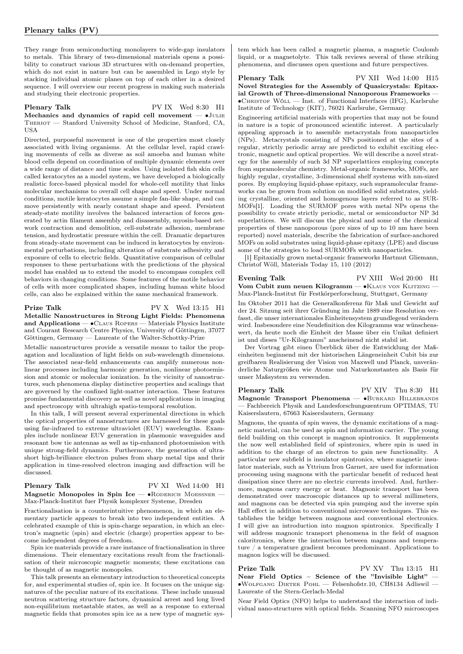They range from semiconducting monolayers to wide-gap insulators to metals. This library of two-dimensional materials opens a possibility to construct various 3D structures with on-demand properties, which do not exist in nature but can be assembled in Lego style by stacking individual atomic planes on top of each other in a desired sequence. I will overview our recent progress in making such materials and studying their electronic properties.

# Plenary Talk PV IX Wed 8:30 H1 Mechanics and dynamics of rapid cell movement — •JULIE THERIOT — Stanford University School of Medicine, Stanford, CA, USA

Directed, purposeful movement is one of the properties most closely associated with living organisms. At the cellular level, rapid crawling movements of cells as diverse as soil amoeba and human white blood cells depend on coordination of multiple dynamic elements over a wide range of distance and time scales. Using isolated fish skin cells called keratocytes as a model system, we have developed a biologically realistic force-based physical model for whole-cell motility that links molecular mechanisms to overall cell shape and speed. Under normal conditions, motile keratocytes assume a simple fan-like shape, and can move persistently with nearly constant shape and speed. Persistent steady-state motility involves the balanced interaction of forces generated by actin filament assembly and disassembly, myosin-based network contraction and demolition, cell-substrate adhesion, membrane tension, and hydrostatic pressure within the cell. Dramatic departures from steady-state movement can be induced in keratocytes by environmental perturbations, including alteration of substrate adhesivity and exposure of cells to electric fields. Quantitative comparison of cellular responses to these perturbations with the predictions of the physical model has enabled us to extend the model to encompass complex cell behaviors in changing conditions. Some features of the motile behavior of cells with more complicated shapes, including human white blood cells, can also be explained within the same mechanical framework.

Prize Talk PV X Wed 13:15 H1

Metallic Nanostructures in Strong Light Fields: Phenomena and Applications —  $\bullet$ CLAUS ROPERS — Materials Physics Institute and Courant Research Centre Physics, University of Göttingen, 37077 Göttingen, Germany — Laureate of the Walter-Schottky-Prize

Metallic nanostructures provide a versatile means to tailor the propagation and localization of light fields on sub-wavelength dimensions. The associated near-field enhancements can amplify numerous nonlinear processes including harmonic generation, nonlinear photoemission and atomic or molecular ionization. In the vicinity of nanostructures, such phenomena display distinctive properties and scalings that are governed by the confined light-matter interaction. These features promise fundamental discovery as well as novel applications in imaging and spectroscopy with ultrahigh spatio-temporal resolution.

In this talk, I will present several experimental directions in which the optical properties of nanostructures are harnessed for these goals using far-infrared to extreme ultraviolet (EUV) wavelengths. Examples include nonlinear EUV generation in plasmonic waveguides and resonant bow tie antennas as well as tip-enhanced photoemission with unique strong-field dynamics. Furthermore, the generation of ultrashort high-brilliance electron pulses from sharp metal tips and their application in time-resolved electron imaging and diffraction will be discussed.

### Plenary Talk PV XI Wed 14:00 H1 Magnetic Monopoles in Spin Ice — • RODERICH MOESSNER -Max-Planck-Institut fuer Physik komplexer Systeme, Dresden

Fractionalisation is a counterintuitive phenomenon, in which an elementary particle appears to break into two independent entities. A celebrated example of this is spin-charge separation, in which an electron's magnetic (spin) and electric (charge) properties appear to become independent degrees of freedom.

Spin ice materials provide a rare instance of fractionalisation in three dimensions. Their elementary excitations result from the fractionalisation of their microscopic magnetic moments; these excitations can be thought of as magnetic monopoles.

This talk presents an elementary introduction to theoretical concepts for, and experimental studies of, spin ice. It focuses on the unique signatures of the peculiar nature of its excitations. These include unusual neutron scattering structure factors, dynamical arrest and long lived non-equilibrium metastable states, as well as a response to external magnetic fields that promotes spin ice as a new type of magnetic sys-

tem which has been called a magnetic plasma, a magnetic Coulomb liquid, or a magnetolyte. This talk reviews several of these striking phenomena, and discusses open questions and future perspectives.

Plenary Talk PV XII Wed 14:00 H15 Novel Strategies for the Assembly of Quasicrystals: Epitaxial Growth of Three-dimensional Nanoporous Frameworks ∙Christof Wöll — Inst. of Functional Interfaces (IFG), Karlsruhe Institute of Technology (KIT), 76021 Karlsruhe, Germany

Engineering artificial materials with properties that may not be found in nature is a topic of pronounced scientific interest. A particularly appealing approach is to assemble metacrystals from nanoparticles (NPs). Metacrystals consisting of NPs positioned at the sites of a regular, strictly periodic array are predicted to exhibit exciting electronic, magnetic and optical properties. We will describe a novel strategy for the assembly of such 3d NP superlattices employing concepts from supramolecular chemistry. Metal-organic frameworks, MOFs, are highly regular, crystalline, 3-dimensional shelf systems with nm-sized pores. By employing liquid-phase epitaxy, such supramolecular frameworks can be grown from solution on modified solid substrates, yielding crystalline, oriented and homogenous layers referred to as SUR-MOFs[1]. Loading the SURMOF pores with metal NPs opens the possibility to create strictly periodic, metal or semiconductor NP 3d superlattices. We will discuss the physical and some of the chemical properties of these nanoporous (pore sizes of up to 10 nm have been reported) novel materials, describe the fabrication of surface-anchored MOFs on solid substrates using liquid-phase epitaxy (LPE) and discuss some of the strategies to load SURMOFs with nanoparticles.

[1] Epitaxially grown metal-organic frameworks Hartmut Gliemann, Christof Wöll, Materials Today 15, 110 (2012)

# Evening Talk PV XIII Wed 20:00 H1 Vom Cubit zum neuen Kilogramm — •KLAUS von KLITZING -

Max-Planck-Institut für Festkörperforschung, Stuttgart, Germany Im Oktober 2011 hat die Generalkonferenz für Maß und Gewicht auf der 24. Sitzung seit ihrer Gründung im Jahr 1889 eine Resolution verfasst, die unser internationales Einheitensystem grundlegend verändern wird. Insbesondere eine Neudefinition des Kilogramms war wünschenswert, da heute noch die Einheit der Masse über ein Unikat definiert ist und dieses "Ur-Kilogramm" anscheinend nicht stabil ist.

Der Vortrag gibt einen Überblick über die Entwicklung der Maßeinheiten beginnend mit der historischen Längeneinheit Cubit bis zur greifbaren Realisierung der Vision von Maxwell und Planck, unveränderliche Naturgrößen wie Atome und Naturkonstanten als Basis für unser Maßsystem zu verwenden.

Plenary Talk PV XIV Thu 8:30 H1 Magnonic Transport Phenomena — •BURKARD HILLEBRANDS — Fachbereich Physik and Landesforschungszentrum OPTIMAS, TU Kaiserslautern, 67663 Kaiserslautern, Germany

Magnons, the quanta of spin waves, the dynamic excitations of a magnetic material, can be used as spin and information carrier. The young field building on this concept is magnon spintronics. It supplements the now well established field of spintronics, where spin is used in addition to the charge of an electron to gain new functionality. A particular new subfield is insulator spintronics, where magnetic insulator materials, such as Yttrium Iron Garnet, are used for information processing using magnons with the particular benefit of reduced heat dissipation since there are no electric currents involved. And, furthermore, magnons carry energy or heat. Magnonic transport has been demonstrated over macroscopic distances up to several millimeters, and magnons can be detected via spin pumping and the inverse spin Hall effect in addition to conventional microwave techniques. This establishes the bridge between magnons and conventional electronics. I will give an introduction into magnon spintronics. Specifically I will address magnonic transport phenomena in the field of magnon caloritronics, where the interaction between magnons and temperature / a temperature gradient becomes predominant. Applications to magnon logics will be discussed.

# Prize Talk PV XV Thu 13:15 H1 Near Field Optics – Science of the "Invisible Light" — ∙Wolfgang Dieter Pohl — Felsenhofstr.10, CH8134 Adliswil — Laureate of the Stern-Gerlach-Medal

Near Field Optics (NFO) helps to understand the interaction of individual nano-structures with optical fields. Scanning NFO microscopes